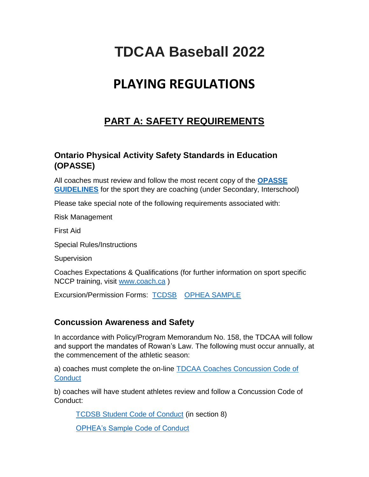# **TDCAA Baseball 2022**

# **PLAYING REGULATIONS**

# **PART A: SAFETY REQUIREMENTS**

# **Ontario Physical Activity Safety Standards in Education (OPASSE)**

All coaches must review and follow the most recent copy of the **[OPASSE](https://safety.ophea.net/)  [GUIDELINES](https://safety.ophea.net/)** for the sport they are coaching (under Secondary, Interschool)

Please take special note of the following requirements associated with:

Risk Management

First Aid

Special Rules/Instructions

**Supervision** 

Coaches Expectations & Qualifications (for further information on sport specific NCCP training, visit [www.coach.ca](http://www.coach.ca/) )

Excursion/Permission Forms: [TCDSB](https://tcdsbcec.sharepoint.com/sites/HealthOutdoorPhysEd/SitePages/DocumentsForms.aspx) [OPHEA SAMPLE](https://safety.ophea.net/tools-resources/coaches-responsibilities?parents=coaches-expectations)

# **Concussion Awareness and Safety**

In accordance with Policy/Program Memorandum No. 158, the TDCAA will follow and support the mandates of Rowan's Law. The following must occur annually, at the commencement of the athletic season:

a) coaches must complete the on-line [TDCAA Coaches Concussion Code of](https://forms.gle/vSLs7WJpHfmBQXff7)  **[Conduct](https://forms.gle/vSLs7WJpHfmBQXff7)** 

b) coaches will have student athletes review and follow a Concussion Code of Conduct:

[TCDSB Student Code of Conduct](https://tcdsbcec.sharepoint.com/sites/HealthOutdoorPhysEd/SitePages/DocumentsForms.aspx) (in section 8)

[OPHEA's Sample Code of Conduct](https://safety.ophea.net/tools-resources/sample-concussion-code-conduct-interschool-sports-parentguardian)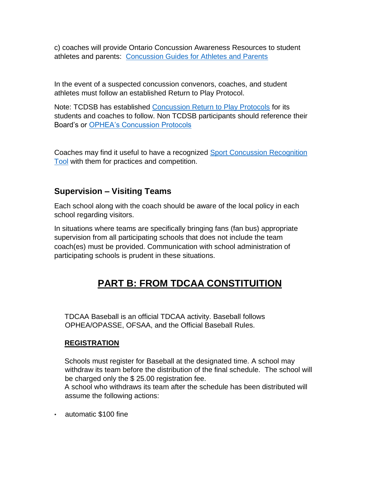c) coaches will provide Ontario Concussion Awareness Resources to student athletes and parents: [Concussion Guides for Athletes and Parents](https://parachute.ca/en/injury-topic/concussion/)

In the event of a suspected concussion convenors, coaches, and student athletes must follow an established Return to Play Protocol.

Note: TCDSB has established [Concussion Return to Play Protocols](https://tcdsbcec.sharepoint.com/sites/HealthOutdoorPhysEd/SitePages/DocumentsForms.aspx) for its students and coaches to follow. Non TCDSB participants should reference their Board's or [OPHEA's Concussion Protocols](https://safety.ophea.net/concussions)

Coaches may find it useful to have a recognized [Sport Concussion Recognition](https://resources.fifa.com/image/upload/concussion-recognition-tool-5.pdf?cloudid=y9y5fpwji70rtzyefdoa)  [Tool](https://resources.fifa.com/image/upload/concussion-recognition-tool-5.pdf?cloudid=y9y5fpwji70rtzyefdoa) with them for practices and competition.

# **Supervision – Visiting Teams**

Each school along with the coach should be aware of the local policy in each school regarding visitors.

In situations where teams are specifically bringing fans (fan bus) appropriate supervision from all participating schools that does not include the team coach(es) must be provided. Communication with school administration of participating schools is prudent in these situations.

# **PART B: FROM TDCAA CONSTITUITION**

TDCAA Baseball is an official TDCAA activity. Baseball follows OPHEA/OPASSE, OFSAA, and the Official Baseball Rules.

### **REGISTRATION**

Schools must register for Baseball at the designated time. A school may withdraw its team before the distribution of the final schedule. The school will be charged only the \$ 25.00 registration fee.

A school who withdraws its team after the schedule has been distributed will assume the following actions:

• automatic \$100 fine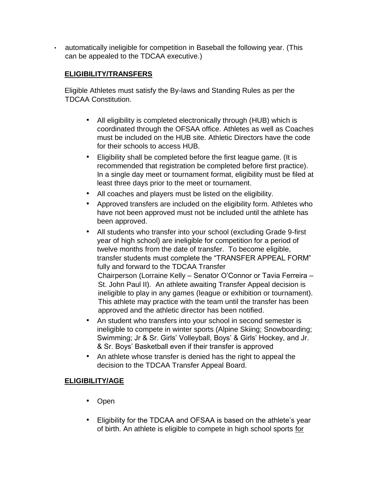• automatically ineligible for competition in Baseball the following year. (This can be appealed to the TDCAA executive.)

# **ELIGIBILITY/TRANSFERS**

Eligible Athletes must satisfy the By-laws and Standing Rules as per the TDCAA Constitution.

- All eligibility is completed electronically through (HUB) which is coordinated through the OFSAA office. Athletes as well as Coaches must be included on the HUB site. Athletic Directors have the code for their schools to access HUB.
- Eligibility shall be completed before the first league game. (It is recommended that registration be completed before first practice). In a single day meet or tournament format, eligibility must be filed at least three days prior to the meet or tournament.
- All coaches and players must be listed on the eligibility.
- Approved transfers are included on the eligibility form. Athletes who have not been approved must not be included until the athlete has been approved.
- All students who transfer into your school (excluding Grade 9-first year of high school) are ineligible for competition for a period of twelve months from the date of transfer. To become eligible, transfer students must complete the "TRANSFER APPEAL FORM" fully and forward to the TDCAA Transfer Chairperson (Lorraine Kelly – Senator O'Connor or Tavia Ferreira – St. John Paul II). An athlete awaiting Transfer Appeal decision is ineligible to play in any games (league or exhibition or tournament). This athlete may practice with the team until the transfer has been approved and the athletic director has been notified.
- An student who transfers into your school in second semester is ineligible to compete in winter sports (Alpine Skiing; Snowboarding; Swimming; Jr & Sr. Girls' Volleyball, Boys' & Girls' Hockey, and Jr. & Sr. Boys' Basketball even if their transfer is approved
- An athlete whose transfer is denied has the right to appeal the decision to the TDCAA Transfer Appeal Board.

# **ELIGIBILITY/AGE**

- Open
- Eligibility for the TDCAA and OFSAA is based on the athlete's year of birth. An athlete is eligible to compete in high school sports for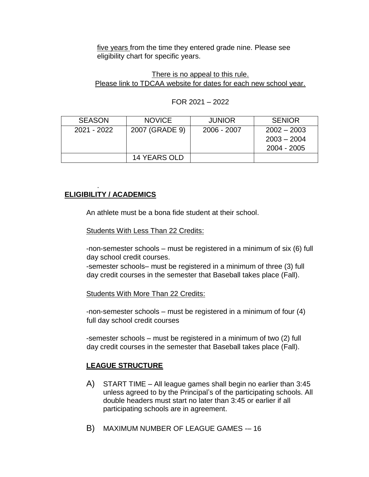five years from the time they entered grade nine. Please see eligibility chart for specific years.

### There is no appeal to this rule. Please link to TDCAA website for dates for each new school year.

| <b>SEASON</b> | <b>NOVICE</b>       | <b>JUNIOR</b> | <b>SENIOR</b>                                 |
|---------------|---------------------|---------------|-----------------------------------------------|
| 2021 - 2022   | 2007 (GRADE 9)      | 2006 - 2007   | $2002 - 2003$<br>$2003 - 2004$<br>2004 - 2005 |
|               | <b>14 YEARS OLD</b> |               |                                               |

### FOR 2021 – 2022

#### . **ELIGIBILITY / ACADEMICS**

An athlete must be a bona fide student at their school.

Students With Less Than 22 Credits:

-non-semester schools – must be registered in a minimum of six (6) full day school credit courses.

-semester schools– must be registered in a minimum of three (3) full day credit courses in the semester that Baseball takes place (Fall).

Students With More Than 22 Credits:

-non-semester schools – must be registered in a minimum of four (4) full day school credit courses

-semester schools – must be registered in a minimum of two (2) full day credit courses in the semester that Baseball takes place (Fall).

# **LEAGUE STRUCTURE**

- A) START TIME All league games shall begin no earlier than 3:45 unless agreed to by the Principal's of the participating schools. All double headers must start no later than 3:45 or earlier if all participating schools are in agreement.
- B) MAXIMUM NUMBER OF LEAGUE GAMES -– 16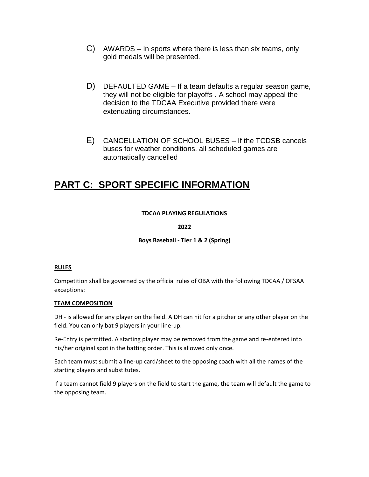- C) AWARDS In sports where there is less than six teams, only gold medals will be presented.
- D) DEFAULTED GAME If a team defaults a regular season game, they will not be eligible for playoffs . A school may appeal the decision to the TDCAA Executive provided there were extenuating circumstances.
- E) CANCELLATION OF SCHOOL BUSES If the TCDSB cancels buses for weather conditions, all scheduled games are automatically cancelled

# **PART C: SPORT SPECIFIC INFORMATION**

#### **TDCAA PLAYING REGULATIONS**

#### **2022**

**Boys Baseball - Tier 1 & 2 (Spring)**

#### **RULES**

Competition shall be governed by the official rules of OBA with the following TDCAA / OFSAA exceptions:

#### **TEAM COMPOSITION**

DH - is allowed for any player on the field. A DH can hit for a pitcher or any other player on the field. You can only bat 9 players in your line-up.

Re-Entry is permitted. A starting player may be removed from the game and re-entered into his/her original spot in the batting order. This is allowed only once.

Each team must submit a line-up card/sheet to the opposing coach with all the names of the starting players and substitutes.

If a team cannot field 9 players on the field to start the game, the team will default the game to the opposing team.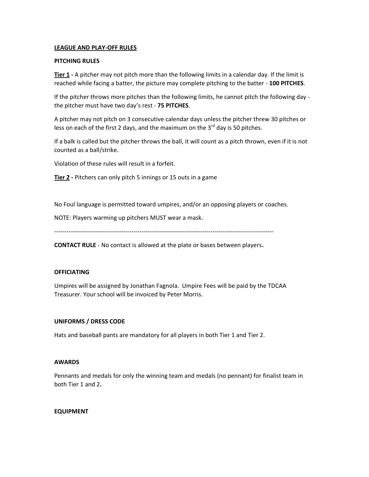#### **LEAGUE AND PLAY-OFF RULES**

#### **PITCHING RULES**

**Tier 1 -** A pitcher may not pitch more than the following limits in a calendar day. If the limit is reached while facing a batter, the picture may complete pitching to the batter - **100 PITCHES**.

If the pitcher throws more pitches than the following limits, he cannot pitch the following day the pitcher must have two day's rest - **75 PITCHES**.

A pitcher may not pitch on 3 consecutive calendar days unless the pitcher threw 30 pitches or less on each of the first 2 days, and the maximum on the  $3^{rd}$  day is 50 pitches.

If a balk is called but the pitcher throws the ball, it will count as a pitch thrown, even if it is not counted as a ball/strike.

Violation of these rules will result in a forfeit.

**Tier 2 -** Pitchers can only pitch 5 innings or 15 outs in a game

No Foul language is permitted toward umpires, and/or an opposing players or coaches.

NOTE: Players warming up pitchers MUST wear a mask.

------------------------------------------------------------------------------------------------------------

**CONTACT RULE** - No contact is allowed at the plate or bases between players**.**

#### **OFFICIATING**

Umpires will be assigned by Jonathan Fagnola. Umpire Fees will be paid by the TDCAA Treasurer. Your school will be invoiced by Peter Morris.

#### **UNIFORMS / DRESS CODE**

Hats and baseball pants are mandatory for all players in both Tier 1 and Tier 2.

#### **AWARDS**

Pennants and medals for only the winning team and medals (no pennant) for finalist team in both Tier 1 and 2**.** 

#### **EQUIPMENT**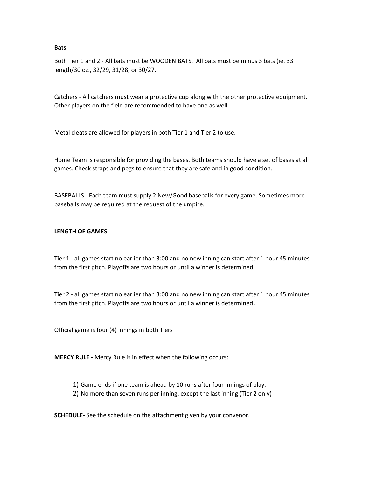**Bats**

Both Tier 1 and 2 - All bats must be WOODEN BATS. All bats must be minus 3 bats (ie. 33 length/30 oz., 32/29, 31/28, or 30/27.

Catchers - All catchers must wear a protective cup along with the other protective equipment. Other players on the field are recommended to have one as well.

Metal cleats are allowed for players in both Tier 1 and Tier 2 to use.

Home Team is responsible for providing the bases. Both teams should have a set of bases at all games. Check straps and pegs to ensure that they are safe and in good condition.

BASEBALLS - Each team must supply 2 New/Good baseballs for every game. Sometimes more baseballs may be required at the request of the umpire.

#### **LENGTH OF GAMES**

Tier 1 - all games start no earlier than 3:00 and no new inning can start after 1 hour 45 minutes from the first pitch. Playoffs are two hours or until a winner is determined.

Tier 2 - all games start no earlier than 3:00 and no new inning can start after 1 hour 45 minutes from the first pitch. Playoffs are two hours or until a winner is determined**.**

Official game is four (4) innings in both Tiers

**MERCY RULE -** Mercy Rule is in effect when the following occurs:

- 1) Game ends if one team is ahead by 10 runs after four innings of play.
- 2) No more than seven runs per inning, except the last inning (Tier 2 only)

**SCHEDULE-** See the schedule on the attachment given by your convenor.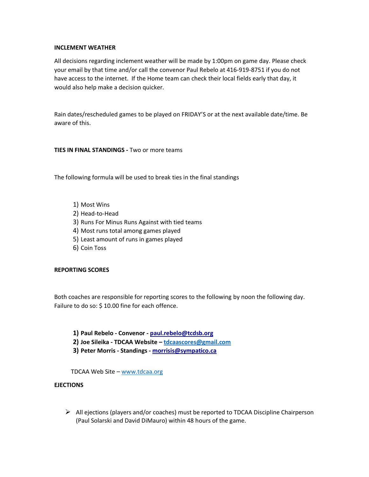#### **INCLEMENT WEATHER**

All decisions regarding inclement weather will be made by 1:00pm on game day. Please check your email by that time and/or call the convenor Paul Rebelo at 416-919-8751 if you do not have access to the internet. If the Home team can check their local fields early that day, it would also help make a decision quicker.

Rain dates/rescheduled games to be played on FRIDAY'S or at the next available date/time. Be aware of this.

**TIES IN FINAL STANDINGS -** Two or more teams

The following formula will be used to break ties in the final standings

- 1) Most Wins
- 2) Head-to-Head
- 3) Runs For Minus Runs Against with tied teams
- 4) Most runs total among games played
- 5) Least amount of runs in games played
- 6) Coin Toss

#### **REPORTING SCORES**

Both coaches are responsible for reporting scores to the following by noon the following day. Failure to do so: \$ 10.00 fine for each offence.

- **1) Paul Rebelo - Convenor - [paul.rebelo@tcdsb.org](mailto:paul.rebelo@tcdsb.org)**
- **2) Joe Sileika - TDCAA Website – [tdcaascores@gmail.com](mailto:tdcaascores@gmail.com)**
- **3) Peter Morris - Standings - [morrisis@sympatico.ca](mailto:morrisis@sympatico.ca)**

TDCAA Web Site – [www.tdcaa.org](http://www.tdcaa.org/)

#### **EJECTIONS**

 $\triangleright$  All ejections (players and/or coaches) must be reported to TDCAA Discipline Chairperson (Paul Solarski and David DiMauro) within 48 hours of the game.